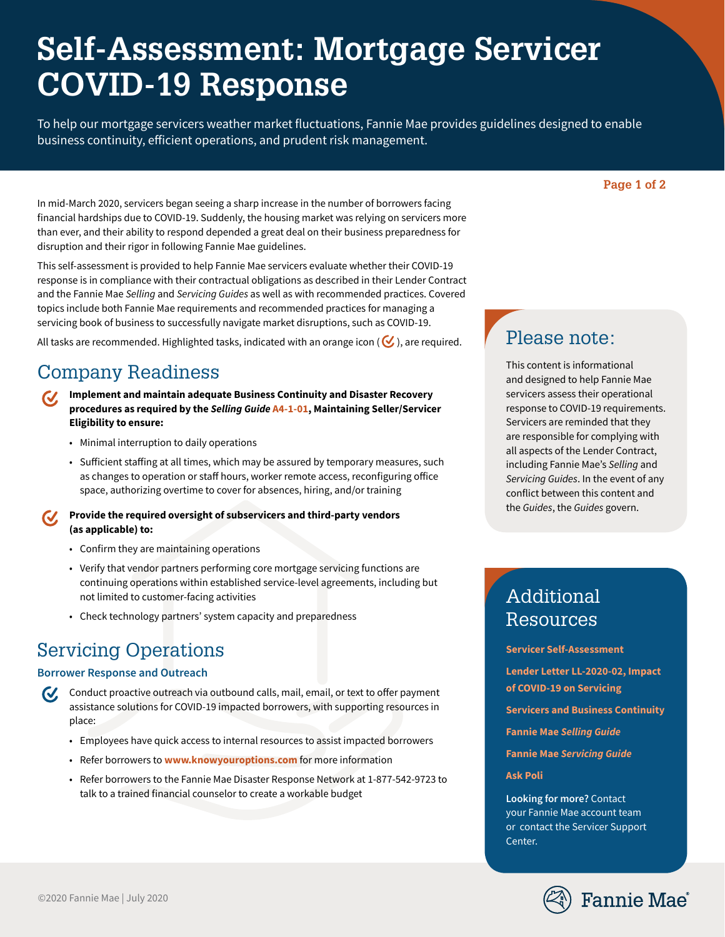# **Self-Assessment: Mortgage Servicer COVID-19 Response**

To help our mortgage servicers weather market fluctuations, Fannie Mae provides guidelines designed to enable business continuity, efficient operations, and prudent risk management.

## **Page 1 of 2**

In mid-March 2020, servicers began seeing a sharp increase in the number of borrowers facing financial hardships due to COVID-19. Suddenly, the housing market was relying on servicers more than ever, and their ability to respond depended a great deal on their business preparedness for disruption and their rigor in following Fannie Mae guidelines.

This self-assessment is provided to help Fannie Mae servicers evaluate whether their COVID-19 response is in compliance with their contractual obligations as described in their Lender Contract and the Fannie Mae *Selling* and *Servicing Guides* as well as with recommended practices. Covered topics include both Fannie Mae requirements and recommended practices for managing a servicing book of business to successfully navigate market disruptions, such as COVID-19.

All tasks are recommended. Highlighted tasks, indicated with an orange icon ( $\bigotimes$ ), are required.

## Company Readiness

- **Implement and maintain adequate Business Continuity and Disaster Recovery**   $\boldsymbol{\mathcal{U}}$ **procedures as required by the** *Selling Guide* **[A4-1-01](https://selling-guide.fanniemae.com/Selling-Guide/Doing-Business-with-Fannie-Mae/Subpart-A4-Maintaining-Seller-Servicer-Eligibility/Chapter-A4-1-Maintaining-Seller-Servicer-Eligibility/), Maintaining Seller/Servicer Eligibility to ensure:**
	- Minimal interruption to daily operations
	- Sufficient staffing at all times, which may be assured by temporary measures, such as changes to operation or staff hours, worker remote access, reconfiguring office space, authorizing overtime to cover for absences, hiring, and/or training
- **Provide the required oversight of subservicers and third-party vendors (as applicable) to:**
	- Confirm they are maintaining operations
	- Verify that vendor partners performing core mortgage servicing functions are continuing operations within established service-level agreements, including but not limited to customer-facing activities
	- Check technology partners' system capacity and preparedness

## Servicing Operations

## **Borrower Response and Outreach**

- $\boldsymbol{\mathcal{U}}$ Conduct proactive outreach via outbound calls, mail, email, or text to offer payment assistance solutions for COVID-19 impacted borrowers, with supporting resources in place:
	- Employees have quick access to internal resources to assist impacted borrowers
	- Refer borrowers to **[www.knowyouroptions.com](http://www.knowyouroptions.com/)** for more information
	- Refer borrowers to the Fannie Mae Disaster Response Network at 1-877-542-9723 to talk to a trained financial counselor to create a workable budget

## Please note:

This content is informational and designed to help Fannie Mae servicers assess their operational response to COVID-19 requirements. Servicers are reminded that they are responsible for complying with all aspects of the Lender Contract, including Fannie Mae's *Selling* and *Servicing Guides*. In the event of any conflict between this content and the *Guides*, the *Guides* govern.

## Additional Resources

**[Servicer Self-Assessment](https://singlefamily.fanniemae.com/media/16976/display)**

**[Lender Letter LL-2020-02, Impact](https://singlefamily.fanniemae.com/media/22261/display)  [of COVID-19 on Servicing](https://singlefamily.fanniemae.com/media/22261/display)**

**[Servicers and Business Continuity](https://singlefamily.fanniemae.com/media/document/pdf/servicers-and-business-continuity)**

**Fannie Mae** *[Selling Guide](https://selling-guide.fanniemae.com/)*

**Fannie Mae** *[Servicing Guide](https://servicing-guide.fanniemae.com/)*

**[Ask Poli](https://askpoli.fanniemae.com/)**

**Looking for more?** Contact your Fannie Mae account team or contact the Servicer Support Center.